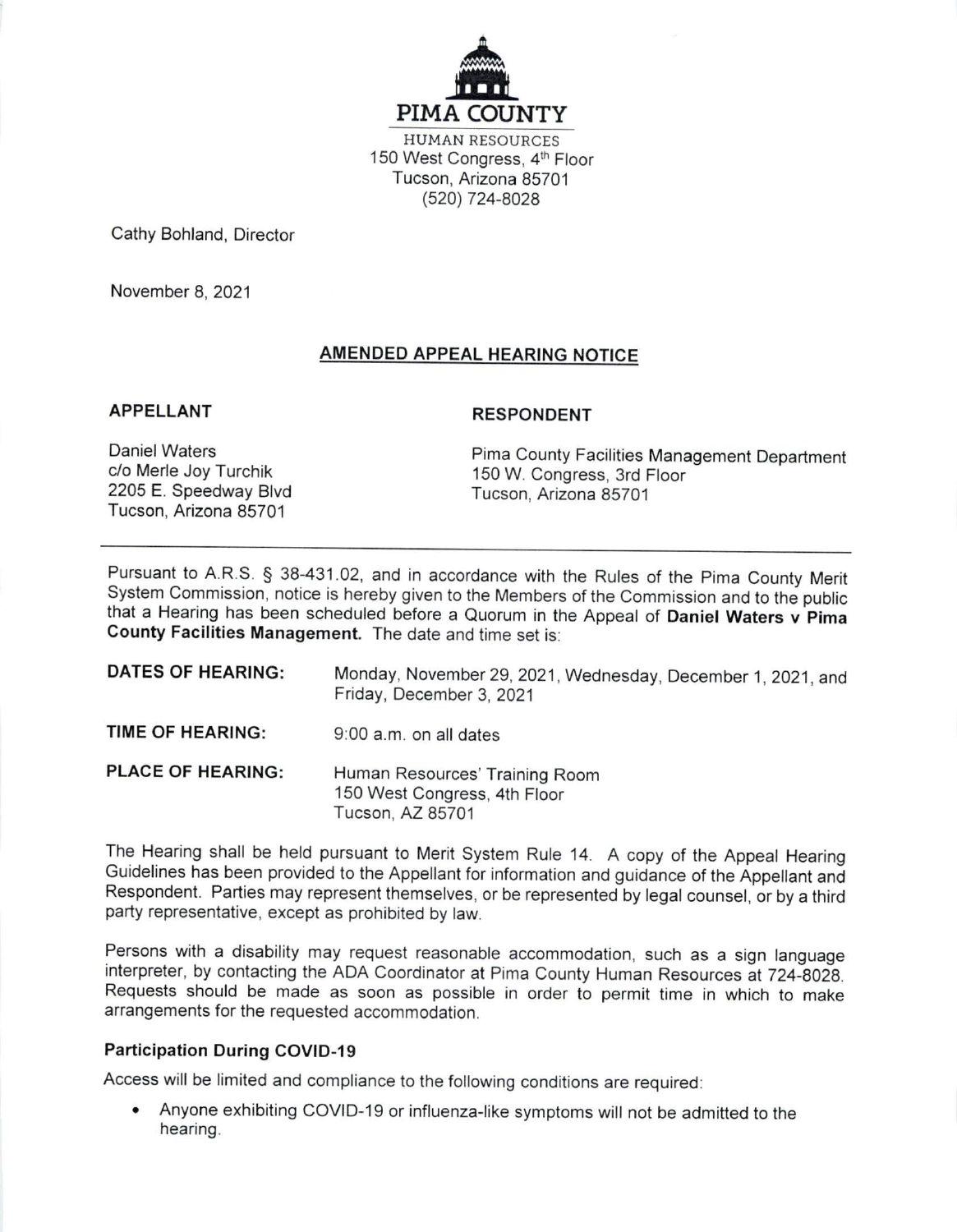

**HUMAN RESOURCES** 150 West Congress, 4th Floor Tucson, Arizona 85701 (520) 724-8028

Cathy Bohland, Director

November 8, 2021

# **AMENDED APPEAL HEARING NOTICE**

#### **APPELLANT**

#### **RESPONDENT**

**Daniel Waters** c/o Merle Joy Turchik 2205 E. Speedway Blvd Tucson, Arizona 85701

Pima County Facilities Management Department 150 W. Congress, 3rd Floor Tucson, Arizona 85701

Pursuant to A.R.S. § 38-431.02, and in accordance with the Rules of the Pima County Merit System Commission, notice is hereby given to the Members of the Commission and to the public that a Hearing has been scheduled before a Quorum in the Appeal of Daniel Waters v Pima County Facilities Management. The date and time set is:

| <b>DATES OF HEARING:</b> | Monday, November 29, 2021, Wednesday, December 1, 2021, and<br>Friday, December 3, 2021 |
|--------------------------|-----------------------------------------------------------------------------------------|
| TIME OF HEARING:         | 9:00 a.m. on all dates                                                                  |
| <b>PLACE OF HEARING:</b> | Human Resources' Training Room<br>150 West Congress, 4th Floor<br>Tucson, AZ 85701      |

The Hearing shall be held pursuant to Merit System Rule 14. A copy of the Appeal Hearing Guidelines has been provided to the Appellant for information and guidance of the Appellant and Respondent. Parties may represent themselves, or be represented by legal counsel, or by a third party representative, except as prohibited by law.

Persons with a disability may request reasonable accommodation, such as a sign language interpreter, by contacting the ADA Coordinator at Pima County Human Resources at 724-8028. Requests should be made as soon as possible in order to permit time in which to make arrangements for the requested accommodation.

## **Participation During COVID-19**

Access will be limited and compliance to the following conditions are required:

• Anyone exhibiting COVID-19 or influenza-like symptoms will not be admitted to the hearing.